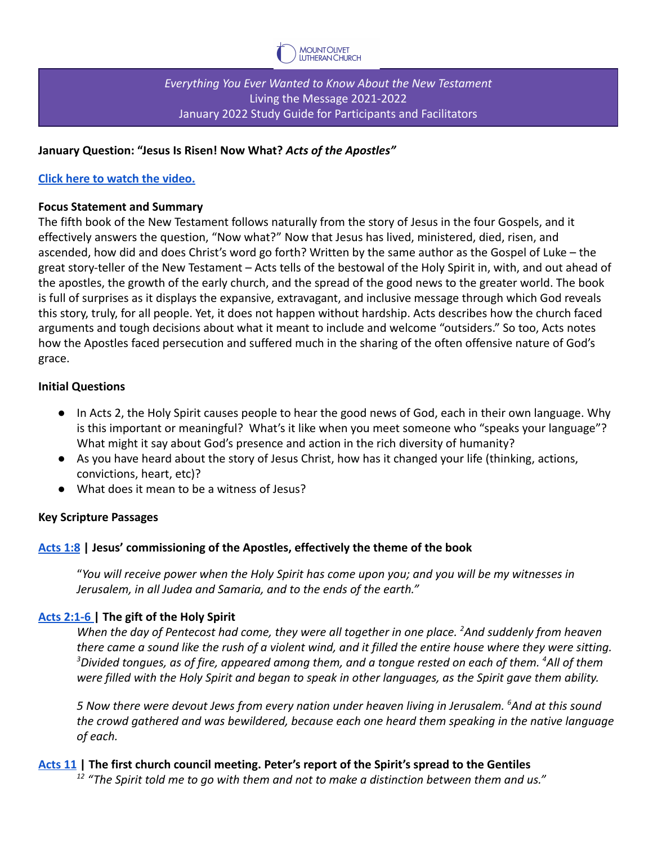

*Everything You Ever Wanted to Know About the New Testament* Living the Message 2021-2022 January 2022 Study Guide for Participants and Facilitators

### **January Question: "Jesus Is Risen! Now What?** *Acts of the Apostles"*

## **[Click here to watch the video.](https://vimeo.com/656762010/0ee35dcbc5)**

### **Focus Statement and Summary**

The fifth book of the New Testament follows naturally from the story of Jesus in the four Gospels, and it effectively answers the question, "Now what?" Now that Jesus has lived, ministered, died, risen, and ascended, how did and does Christ's word go forth? Written by the same author as the Gospel of Luke – the great story-teller of the New Testament – Acts tells of the bestowal of the Holy Spirit in, with, and out ahead of the apostles, the growth of the early church, and the spread of the good news to the greater world. The book is full of surprises as it displays the expansive, extravagant, and inclusive message through which God reveals this story, truly, for all people. Yet, it does not happen without hardship. Acts describes how the church faced arguments and tough decisions about what it meant to include and welcome "outsiders." So too, Acts notes how the Apostles faced persecution and suffered much in the sharing of the often offensive nature of God's grace.

### **Initial Questions**

- In Acts 2, the Holy Spirit causes people to hear the good news of God, each in their own language. Why is this important or meaningful? What's it like when you meet someone who "speaks your language"? What might it say about God's presence and action in the rich diversity of humanity?
- As you have heard about the story of Jesus Christ, how has it changed your life (thinking, actions, convictions, heart, etc)?
- What does it mean to be a witness of Jesus?

### **Key Scripture Passages**

### **[Acts 1:8](https://bible.oremus.org/?ql=506517539) | Jesus' commissioning of the Apostles, effectively the theme of the book**

"*You will receive power when the Holy Spirit has come upon you; and you will be my witnesses in Jerusalem, in all Judea and Samaria, and to the ends of the earth."*

# **[Acts 2:1-6](https://bible.oremus.org/?ql=506517559) | The gift of the Holy Spirit**

*When the day of Pentecost had come, they were all together in one place. <sup>2</sup>And suddenly from heaven there came a sound like the rush of a violent wind, and it filled the entire house where they were sitting. <sup>3</sup>Divided tongues, as of fire, appeared among them, and a tongue rested on each of them. <sup>4</sup>All of them were filled with the Holy Spirit and began to speak in other languages, as the Spirit gave them ability.*

*5 Now there were devout Jews from every nation under heaven living in Jerusalem. <sup>6</sup>And at this sound the crowd gathered and was bewildered, because each one heard them speaking in the native language of each.*

### **[Acts 11](https://bible.oremus.org/?ql=506517578) | The first church council meeting. Peter's report of the Spirit's spread to the Gentiles**

*<sup>12</sup> "The Spirit told me to go with them and not to make a distinction between them and us."*